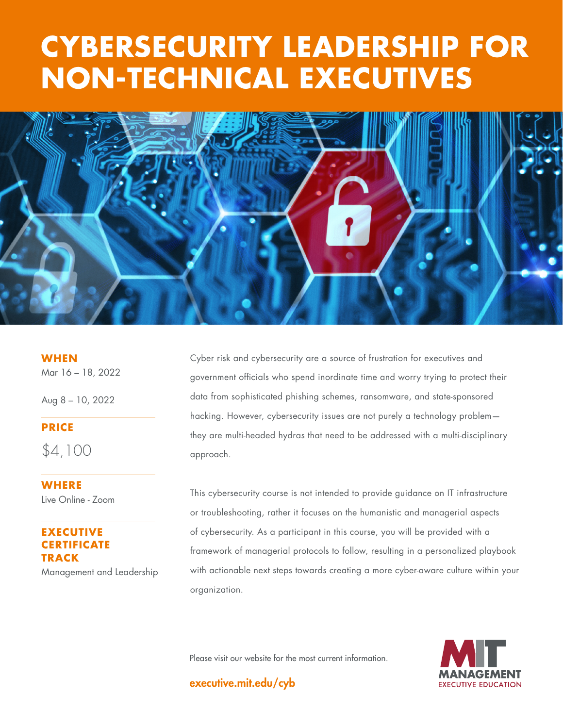# **THE GOOD SHOTTLE STATE CYBERSECURITY LEADERSHIP FOR NON-TECHNICAL EXECUTIVES**



**WHEN** Mar 16 – 18, 2022

Aug 8 – 10, 2022

## **PRICE**

\$4,100

**WHERE** Live Online - Zoom

### **EXECUTIVE CERTIFICATE TRACK** Management and Leadership

Cyber risk and cybersecurity are a source of frustration for executives and government officials who spend inordinate time and worry trying to protect their data from sophisticated phishing schemes, ransomware, and state-sponsored hacking. However, cybersecurity issues are not purely a technology problem they are multi-headed hydras that need to be addressed with a multi-disciplinary approach.

This cybersecurity course is not intended to provide guidance on IT infrastructure or troubleshooting, rather it focuses on the humanistic and managerial aspects of cybersecurity. As a participant in this course, you will be provided with a framework of managerial protocols to follow, resulting in a personalized playbook with actionable next steps towards creating a more cyber-aware culture within your organization.

Please visit our website for the most current information.



executive.mit.edu/cyb